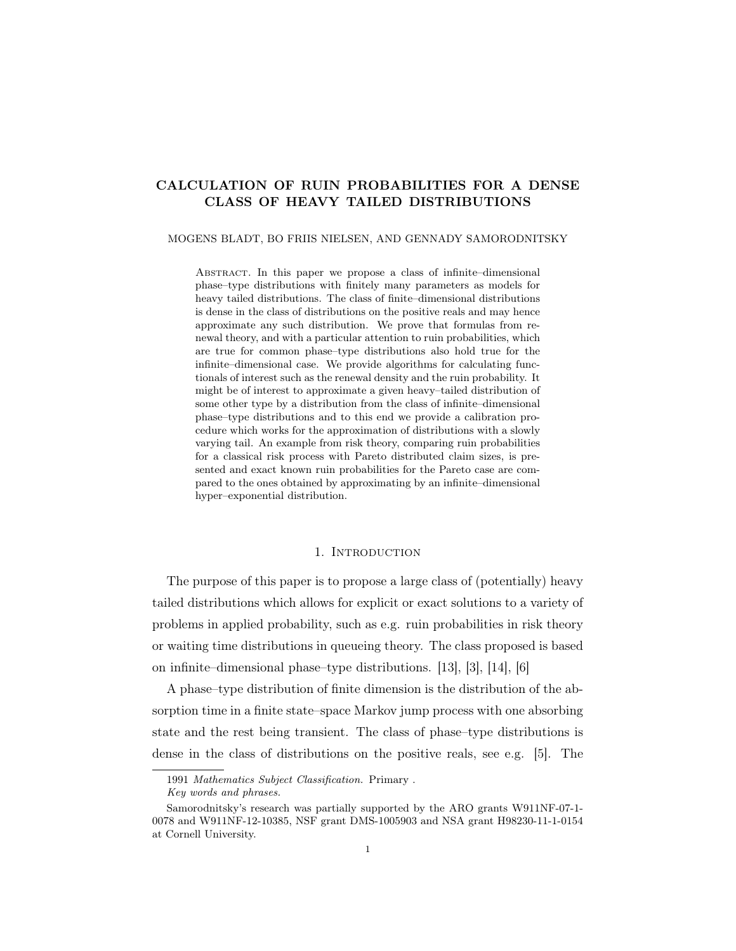# CALCULATION OF RUIN PROBABILITIES FOR A DENSE CLASS OF HEAVY TAILED DISTRIBUTIONS

#### MOGENS BLADT, BO FRIIS NIELSEN, AND GENNADY SAMORODNITSKY

Abstract. In this paper we propose a class of infinite–dimensional phase–type distributions with finitely many parameters as models for heavy tailed distributions. The class of finite–dimensional distributions is dense in the class of distributions on the positive reals and may hence approximate any such distribution. We prove that formulas from renewal theory, and with a particular attention to ruin probabilities, which are true for common phase–type distributions also hold true for the infinite–dimensional case. We provide algorithms for calculating functionals of interest such as the renewal density and the ruin probability. It might be of interest to approximate a given heavy–tailed distribution of some other type by a distribution from the class of infinite–dimensional phase–type distributions and to this end we provide a calibration procedure which works for the approximation of distributions with a slowly varying tail. An example from risk theory, comparing ruin probabilities for a classical risk process with Pareto distributed claim sizes, is presented and exact known ruin probabilities for the Pareto case are compared to the ones obtained by approximating by an infinite–dimensional hyper–exponential distribution.

## 1. Introduction

The purpose of this paper is to propose a large class of (potentially) heavy tailed distributions which allows for explicit or exact solutions to a variety of problems in applied probability, such as e.g. ruin probabilities in risk theory or waiting time distributions in queueing theory. The class proposed is based on infinite–dimensional phase–type distributions. [13], [3], [14], [6]

A phase–type distribution of finite dimension is the distribution of the absorption time in a finite state–space Markov jump process with one absorbing state and the rest being transient. The class of phase–type distributions is dense in the class of distributions on the positive reals, see e.g. [5]. The

<sup>1991</sup> Mathematics Subject Classification. Primary .

Key words and phrases.

Samorodnitsky's research was partially supported by the ARO grants W911NF-07-1- 0078 and W911NF-12-10385, NSF grant DMS-1005903 and NSA grant H98230-11-1-0154 at Cornell University.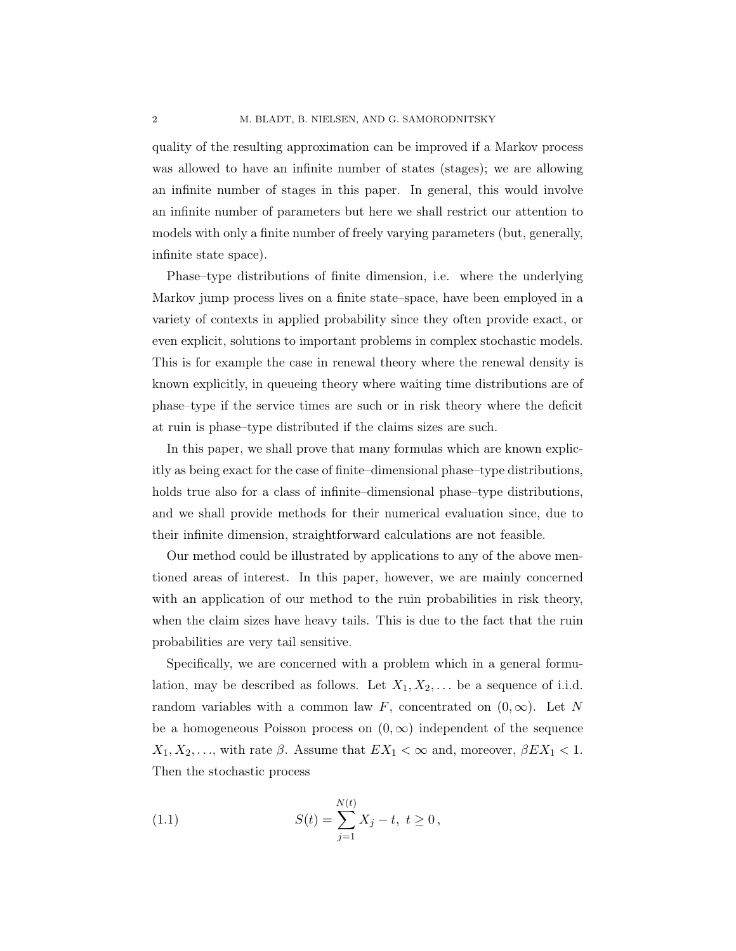quality of the resulting approximation can be improved if a Markov process was allowed to have an infinite number of states (stages); we are allowing an infinite number of stages in this paper. In general, this would involve an infinite number of parameters but here we shall restrict our attention to models with only a finite number of freely varying parameters (but, generally, infinite state space).

Phase–type distributions of finite dimension, i.e. where the underlying Markov jump process lives on a finite state–space, have been employed in a variety of contexts in applied probability since they often provide exact, or even explicit, solutions to important problems in complex stochastic models. This is for example the case in renewal theory where the renewal density is known explicitly, in queueing theory where waiting time distributions are of phase–type if the service times are such or in risk theory where the deficit at ruin is phase–type distributed if the claims sizes are such.

In this paper, we shall prove that many formulas which are known explicitly as being exact for the case of finite–dimensional phase–type distributions, holds true also for a class of infinite–dimensional phase–type distributions, and we shall provide methods for their numerical evaluation since, due to their infinite dimension, straightforward calculations are not feasible.

Our method could be illustrated by applications to any of the above mentioned areas of interest. In this paper, however, we are mainly concerned with an application of our method to the ruin probabilities in risk theory, when the claim sizes have heavy tails. This is due to the fact that the ruin probabilities are very tail sensitive.

Specifically, we are concerned with a problem which in a general formulation, may be described as follows. Let  $X_1, X_2, \ldots$  be a sequence of i.i.d. random variables with a common law F, concentrated on  $(0, \infty)$ . Let N be a homogeneous Poisson process on  $(0, \infty)$  independent of the sequence  $X_1, X_2, \ldots$ , with rate  $\beta$ . Assume that  $EX_1 < \infty$  and, moreover,  $\beta EX_1 < 1$ . Then the stochastic process

(1.1) 
$$
S(t) = \sum_{j=1}^{N(t)} X_j - t, \ t \ge 0,
$$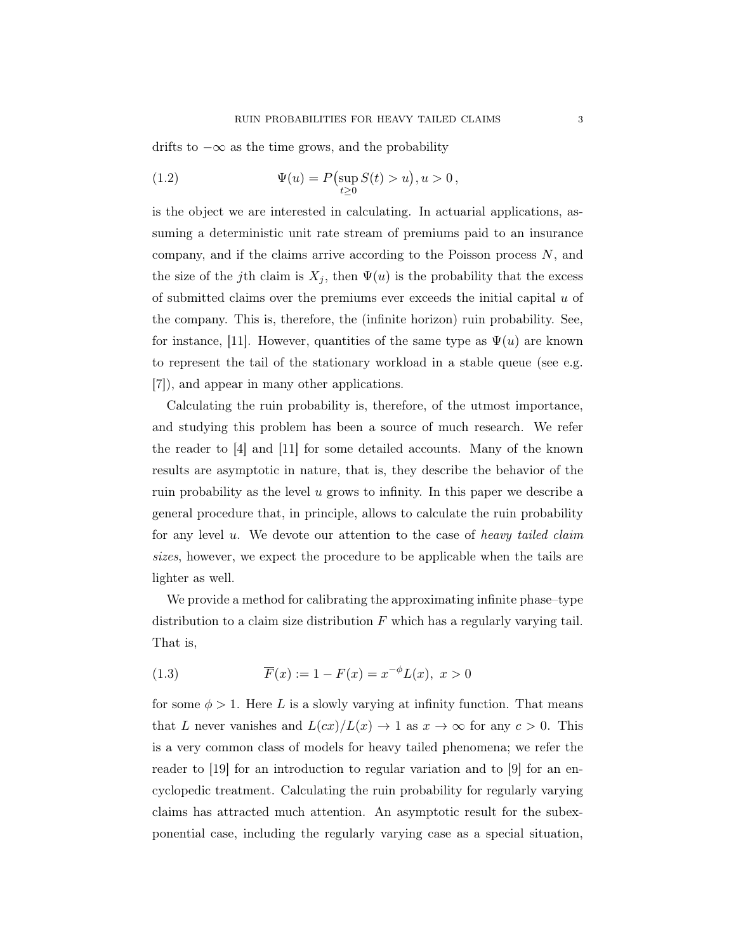drifts to  $-\infty$  as the time grows, and the probability

(1.2) 
$$
\Psi(u) = P(\sup_{t \ge 0} S(t) > u), u > 0,
$$

is the object we are interested in calculating. In actuarial applications, assuming a deterministic unit rate stream of premiums paid to an insurance company, and if the claims arrive according to the Poisson process  $N$ , and the size of the j<sup>th</sup> claim is  $X_j$ , then  $\Psi(u)$  is the probability that the excess of submitted claims over the premiums ever exceeds the initial capital  $u$  of the company. This is, therefore, the (infinite horizon) ruin probability. See, for instance, [11]. However, quantities of the same type as  $\Psi(u)$  are known to represent the tail of the stationary workload in a stable queue (see e.g. [7]), and appear in many other applications.

Calculating the ruin probability is, therefore, of the utmost importance, and studying this problem has been a source of much research. We refer the reader to [4] and [11] for some detailed accounts. Many of the known results are asymptotic in nature, that is, they describe the behavior of the ruin probability as the level  $u$  grows to infinity. In this paper we describe a general procedure that, in principle, allows to calculate the ruin probability for any level u. We devote our attention to the case of heavy tailed claim sizes, however, we expect the procedure to be applicable when the tails are lighter as well.

We provide a method for calibrating the approximating infinite phase–type distribution to a claim size distribution  $F$  which has a regularly varying tail. That is,

(1.3) 
$$
\overline{F}(x) := 1 - F(x) = x^{-\phi}L(x), \ x > 0
$$

for some  $\phi > 1$ . Here L is a slowly varying at infinity function. That means that L never vanishes and  $L(cx)/L(x) \rightarrow 1$  as  $x \rightarrow \infty$  for any  $c > 0$ . This is a very common class of models for heavy tailed phenomena; we refer the reader to [19] for an introduction to regular variation and to [9] for an encyclopedic treatment. Calculating the ruin probability for regularly varying claims has attracted much attention. An asymptotic result for the subexponential case, including the regularly varying case as a special situation,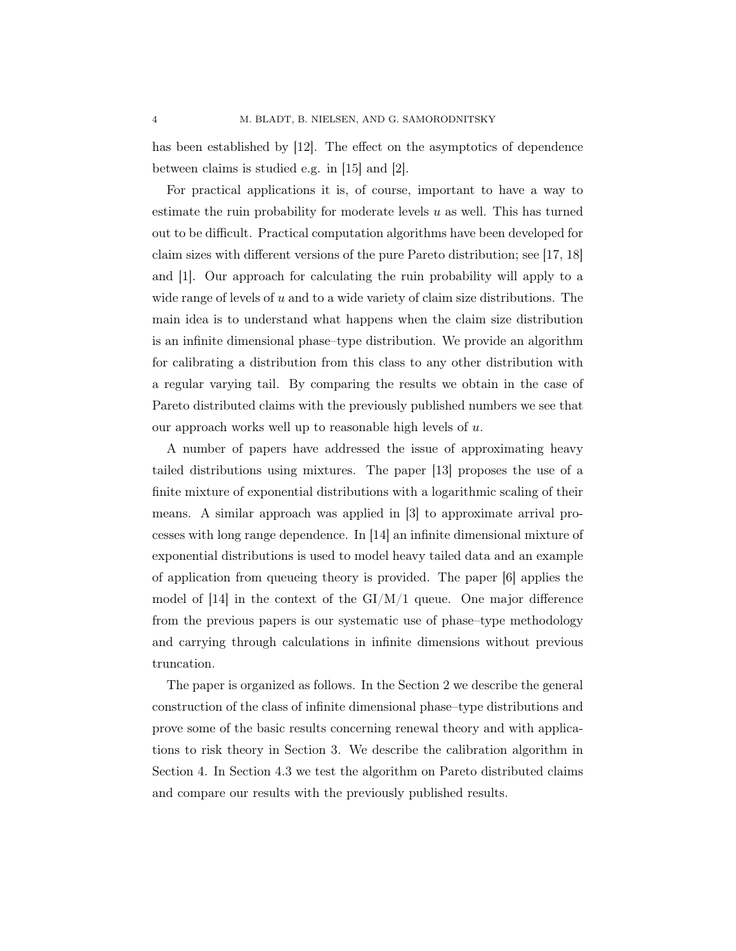has been established by [12]. The effect on the asymptotics of dependence between claims is studied e.g. in [15] and [2].

For practical applications it is, of course, important to have a way to estimate the ruin probability for moderate levels  $u$  as well. This has turned out to be difficult. Practical computation algorithms have been developed for claim sizes with different versions of the pure Pareto distribution; see [17, 18] and [1]. Our approach for calculating the ruin probability will apply to a wide range of levels of  $u$  and to a wide variety of claim size distributions. The main idea is to understand what happens when the claim size distribution is an infinite dimensional phase–type distribution. We provide an algorithm for calibrating a distribution from this class to any other distribution with a regular varying tail. By comparing the results we obtain in the case of Pareto distributed claims with the previously published numbers we see that our approach works well up to reasonable high levels of  $u$ .

A number of papers have addressed the issue of approximating heavy tailed distributions using mixtures. The paper [13] proposes the use of a finite mixture of exponential distributions with a logarithmic scaling of their means. A similar approach was applied in [3] to approximate arrival processes with long range dependence. In [14] an infinite dimensional mixture of exponential distributions is used to model heavy tailed data and an example of application from queueing theory is provided. The paper [6] applies the model of  $[14]$  in the context of the GI/M/1 queue. One major difference from the previous papers is our systematic use of phase–type methodology and carrying through calculations in infinite dimensions without previous truncation.

The paper is organized as follows. In the Section 2 we describe the general construction of the class of infinite dimensional phase–type distributions and prove some of the basic results concerning renewal theory and with applications to risk theory in Section 3. We describe the calibration algorithm in Section 4. In Section 4.3 we test the algorithm on Pareto distributed claims and compare our results with the previously published results.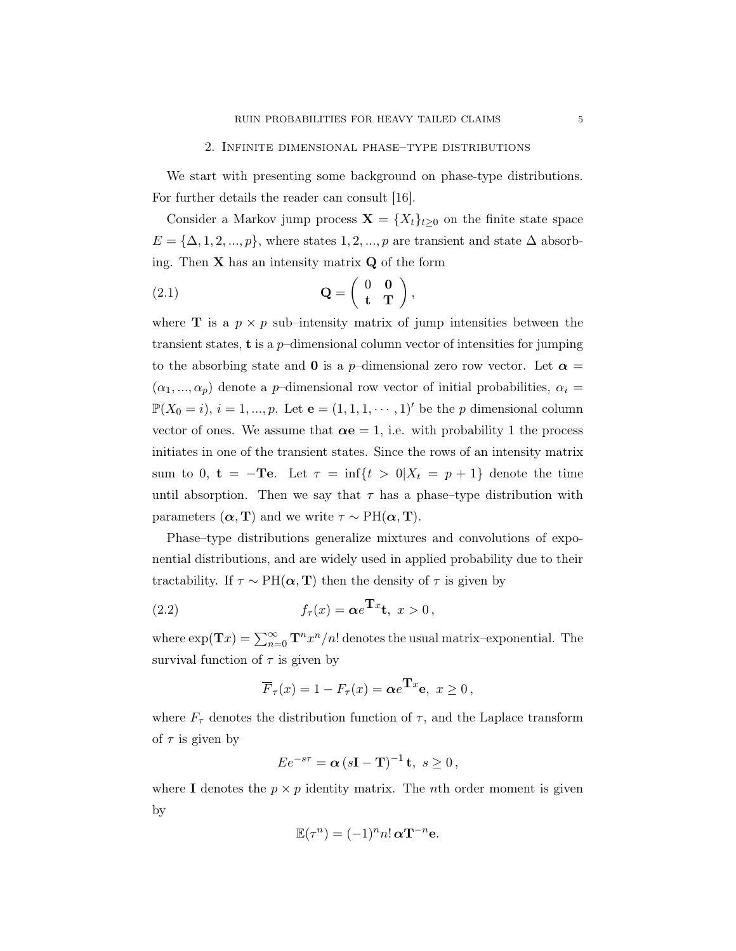#### 2. Infinite dimensional phase–type distributions

We start with presenting some background on phase-type distributions. For further details the reader can consult [16].

Consider a Markov jump process  $\mathbf{X} = \{X_t\}_{t\geq 0}$  on the finite state space  $E = {\Delta, 1, 2, ..., p}$ , where states 1, 2, ..., p are transient and state  $\Delta$  absorbing. Then  $X$  has an intensity matrix  $Q$  of the form

$$
\mathbf{Q} = \left( \begin{array}{cc} 0 & \mathbf{0} \\ \mathbf{t} & \mathbf{T} \end{array} \right),
$$

where **T** is a  $p \times p$  sub-intensity matrix of jump intensities between the transient states, **t** is a  $p$ -dimensional column vector of intensities for jumping to the absorbing state and **0** is a p–dimensional zero row vector. Let  $\alpha =$  $(\alpha_1, ..., \alpha_p)$  denote a p-dimensional row vector of initial probabilities,  $\alpha_i =$  $\mathbb{P}(X_0 = i), i = 1, ..., p$ . Let  $\mathbf{e} = (1, 1, 1, \dots, 1)'$  be the p dimensional column vector of ones. We assume that  $\alpha e = 1$ , i.e. with probability 1 the process initiates in one of the transient states. Since the rows of an intensity matrix sum to 0,  $t = -Te$ . Let  $\tau = \inf\{t > 0 | X_t = p + 1\}$  denote the time until absorption. Then we say that  $\tau$  has a phase–type distribution with parameters  $(\boldsymbol{\alpha}, \mathbf{T})$  and we write  $\tau \sim \text{PH}(\boldsymbol{\alpha}, \mathbf{T})$ .

Phase–type distributions generalize mixtures and convolutions of exponential distributions, and are widely used in applied probability due to their tractability. If  $\tau \sim PH(\boldsymbol{\alpha}, \mathbf{T})$  then the density of  $\tau$  is given by

(2.2) 
$$
f_{\tau}(x) = \alpha e^{\mathbf{T}x}t, \ x > 0,
$$

where  $\exp(\mathbf{T}x) = \sum_{n=0}^{\infty} \mathbf{T}^n x^n/n!$  denotes the usual matrix–exponential. The survival function of  $\tau$  is given by

$$
\overline{F}_{\tau}(x) = 1 - F_{\tau}(x) = \alpha e^{\mathbf{T}x} \mathbf{e}, \ x \ge 0,
$$

where  $F_{\tau}$  denotes the distribution function of  $\tau$ , and the Laplace transform of  $\tau$  is given by

$$
Ee^{-s\tau} = \alpha (s\mathbf{I} - \mathbf{T})^{-1} \mathbf{t}, \ s \ge 0,
$$

where I denotes the  $p \times p$  identity matrix. The *n*th order moment is given by

$$
\mathbb{E}(\tau^n) = (-1)^n n! \,\alpha \mathbf{T}^{-n} \mathbf{e}.
$$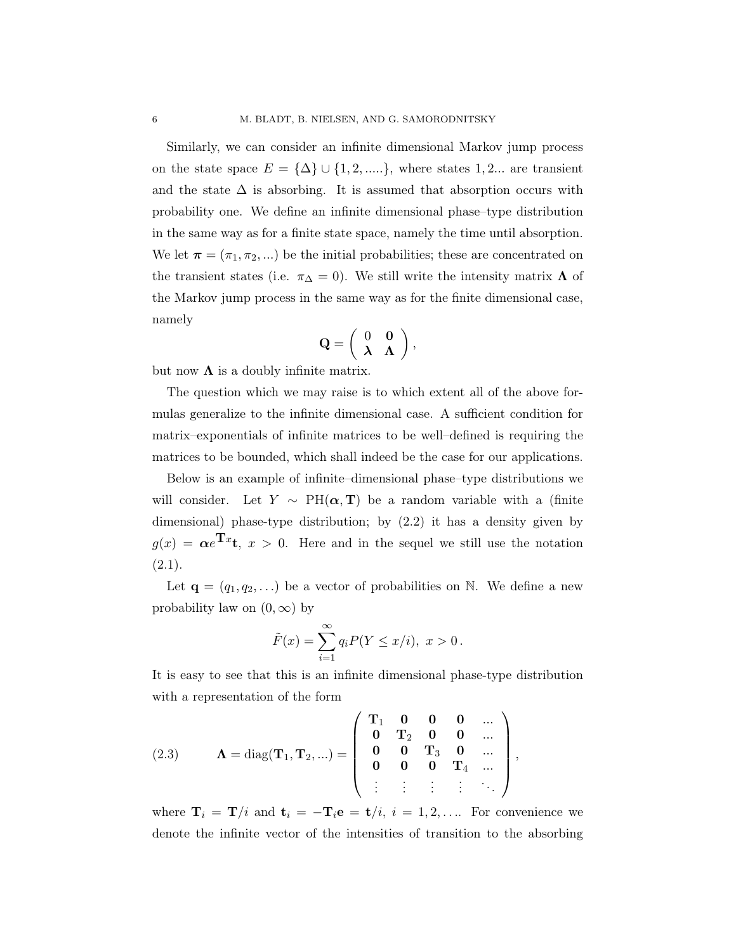Similarly, we can consider an infinite dimensional Markov jump process on the state space  $E = {\{\Delta\}} \cup {\{1, 2, ....\}}$ , where states 1, 2... are transient and the state  $\Delta$  is absorbing. It is assumed that absorption occurs with probability one. We define an infinite dimensional phase–type distribution in the same way as for a finite state space, namely the time until absorption. We let  $\boldsymbol{\pi} = (\pi_1, \pi_2, ...)$  be the initial probabilities; these are concentrated on the transient states (i.e.  $\pi_{\Delta} = 0$ ). We still write the intensity matrix  $\Lambda$  of the Markov jump process in the same way as for the finite dimensional case, namely

$$
\mathbf{Q} = \left( \begin{array}{cc} 0 & \mathbf{0} \\ \lambda & \Lambda \end{array} \right),
$$

but now  $\Lambda$  is a doubly infinite matrix.

The question which we may raise is to which extent all of the above formulas generalize to the infinite dimensional case. A sufficient condition for matrix–exponentials of infinite matrices to be well–defined is requiring the matrices to be bounded, which shall indeed be the case for our applications.

Below is an example of infinite–dimensional phase–type distributions we will consider. Let  $Y \sim PH(\boldsymbol{\alpha}, \mathbf{T})$  be a random variable with a (finite dimensional) phase-type distribution; by (2.2) it has a density given by  $g(x) = \alpha e^{\mathbf{T}x}t$ ,  $x > 0$ . Here and in the sequel we still use the notation  $(2.1).$ 

Let  $\mathbf{q} = (q_1, q_2, \ldots)$  be a vector of probabilities on N. We define a new probability law on  $(0, \infty)$  by

$$
\tilde{F}(x) = \sum_{i=1}^{\infty} q_i P(Y \le x/i), \ x > 0.
$$

It is easy to see that this is an infinite dimensional phase-type distribution with a representation of the form

(2.3) 
$$
\Lambda = \text{diag}(\mathbf{T}_1, \mathbf{T}_2, \ldots) = \begin{pmatrix} \mathbf{T}_1 & \mathbf{0} & \mathbf{0} & \mathbf{0} & \ldots \\ \mathbf{0} & \mathbf{T}_2 & \mathbf{0} & \mathbf{0} & \ldots \\ \mathbf{0} & \mathbf{0} & \mathbf{T}_3 & \mathbf{0} & \ldots \\ \mathbf{0} & \mathbf{0} & \mathbf{0} & \mathbf{T}_4 & \ldots \\ \vdots & \vdots & \vdots & \vdots & \ddots \end{pmatrix},
$$

where  $\mathbf{T}_i = \mathbf{T}/i$  and  $\mathbf{t}_i = -\mathbf{T}_i \mathbf{e} = \mathbf{t}/i$ ,  $i = 1, 2, \dots$  For convenience we denote the infinite vector of the intensities of transition to the absorbing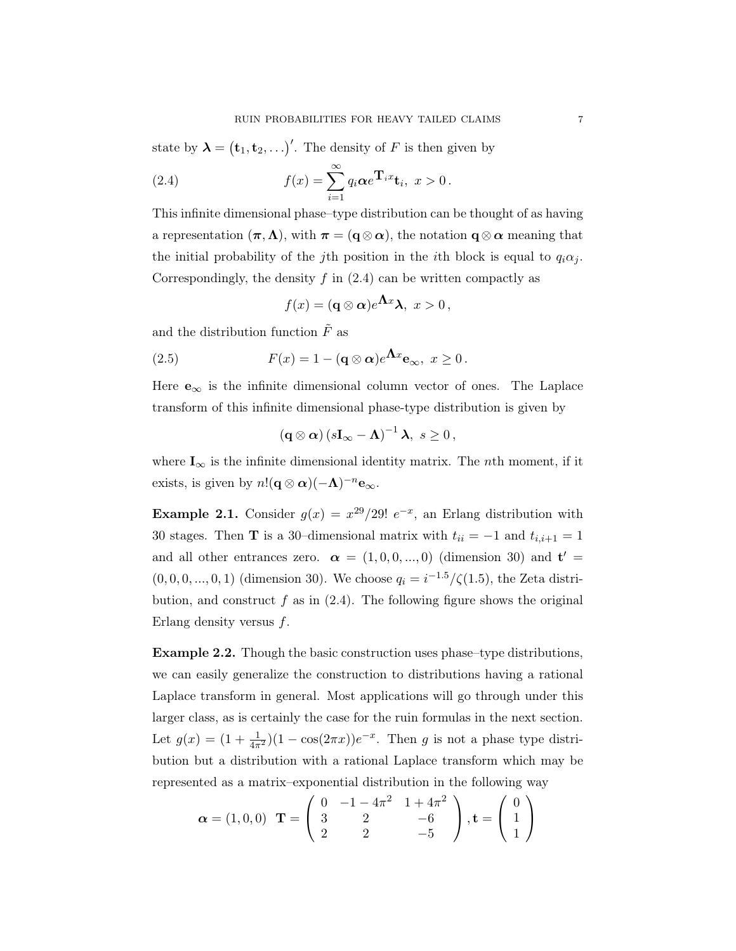state by  $\lambda = (\mathbf{t}_1, \mathbf{t}_2, \ldots)'$ . The density of F is then given by

(2.4) 
$$
f(x) = \sum_{i=1}^{\infty} q_i \alpha e^{\mathbf{T}_i x} \mathbf{t}_i, \ x > 0.
$$

This infinite dimensional phase–type distribution can be thought of as having a representation  $(\pi, \Lambda)$ , with  $\pi = (q \otimes \alpha)$ , the notation  $q \otimes \alpha$  meaning that the initial probability of the j<sup>th</sup> position in the *i*<sup>th</sup> block is equal to  $q_i \alpha_j$ . Correspondingly, the density  $f$  in  $(2.4)$  can be written compactly as

$$
f(x) = (\mathbf{q} \otimes \boldsymbol{\alpha})e^{\boldsymbol{\Lambda} x}\boldsymbol{\lambda}, \ x > 0,
$$

and the distribution function  $\tilde{F}$  as

(2.5) 
$$
F(x) = 1 - (\mathbf{q} \otimes \mathbf{\alpha})e^{\mathbf{\Lambda}x} \mathbf{e}_{\infty}, \ x \ge 0.
$$

Here  $e_{\infty}$  is the infinite dimensional column vector of ones. The Laplace transform of this infinite dimensional phase-type distribution is given by

$$
(\mathbf{q}\otimes\boldsymbol{\alpha})\left(s\mathbf{I}_{\infty}-\boldsymbol{\Lambda}\right)^{-1}\boldsymbol{\lambda},\ s\geq0\,,
$$

where  $I_{\infty}$  is the infinite dimensional identity matrix. The *n*th moment, if it exists, is given by  $n!(\mathbf{q}\otimes\boldsymbol{\alpha})(-\boldsymbol{\Lambda})^{-n}\mathbf{e}_{\infty}$ .

**Example 2.1.** Consider  $g(x) = x^{29}/29! e^{-x}$ , an Erlang distribution with 30 stages. Then **T** is a 30–dimensional matrix with  $t_{ii} = -1$  and  $t_{i,i+1} = 1$ and all other entrances zero.  $\alpha = (1, 0, 0, ..., 0)$  (dimension 30) and  $t' =$  $(0, 0, 0, ..., 0, 1)$  (dimension 30). We choose  $q_i = i^{-1.5}/\zeta(1.5)$ , the Zeta distribution, and construct  $f$  as in  $(2.4)$ . The following figure shows the original Erlang density versus f.

Example 2.2. Though the basic construction uses phase–type distributions, we can easily generalize the construction to distributions having a rational Laplace transform in general. Most applications will go through under this larger class, as is certainly the case for the ruin formulas in the next section. Let  $g(x) = (1 + \frac{1}{4\pi^2})(1 - \cos(2\pi x))e^{-x}$ . Then g is not a phase type distribution but a distribution with a rational Laplace transform which may be represented as a matrix–exponential distribution in the following way

$$
\boldsymbol{\alpha} = (1, 0, 0) \quad \mathbf{T} = \begin{pmatrix} 0 & -1 - 4\pi^2 & 1 + 4\pi^2 \\ 3 & 2 & -6 \\ 2 & 2 & -5 \end{pmatrix}, \mathbf{t} = \begin{pmatrix} 0 \\ 1 \\ 1 \end{pmatrix}
$$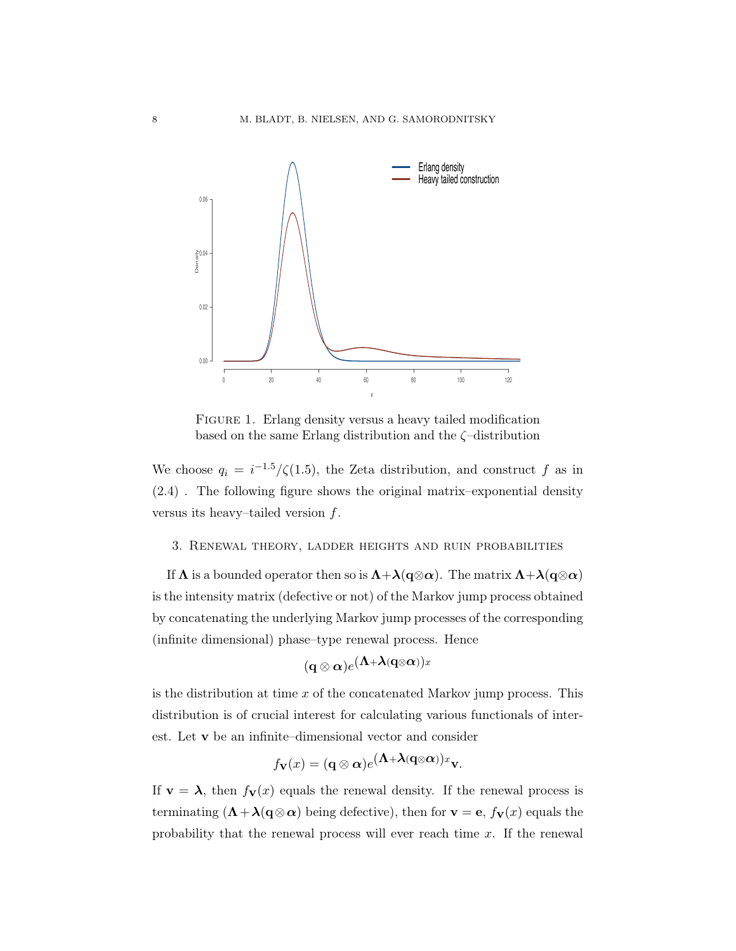

FIGURE 1. Erlang density versus a heavy tailed modification based on the same Erlang distribution and the ζ–distribution

We choose  $q_i = i^{-1.5}/\zeta(1.5)$ , the Zeta distribution, and construct f as in (2.4) . The following figure shows the original matrix–exponential density versus its heavy–tailed version  $f$ .

#### 3. Renewal theory, ladder heights and ruin probabilities

If  $\Lambda$  is a bounded operator then so is  $\Lambda + \lambda(q \otimes \alpha)$ . The matrix  $\Lambda + \lambda(q \otimes \alpha)$ is the intensity matrix (defective or not) of the Markov jump process obtained by concatenating the underlying Markov jump processes of the corresponding (infinite dimensional) phase–type renewal process. Hence

$$
(\mathbf{q}\otimes\boldsymbol{\alpha})e^{(\boldsymbol{\Lambda}+\boldsymbol{\lambda}(\mathbf{q}\otimes\boldsymbol{\alpha}))x}
$$

is the distribution at time  $x$  of the concatenated Markov jump process. This distribution is of crucial interest for calculating various functionals of interest. Let v be an infinite–dimensional vector and consider

$$
f_{\mathbf{V}}(x) = (\mathbf{q} \otimes \boldsymbol{\alpha})e^{(\boldsymbol{\Lambda} + \boldsymbol{\lambda}(\mathbf{q} \otimes \boldsymbol{\alpha}))x} \mathbf{v}.
$$

If  $\mathbf{v} = \boldsymbol{\lambda}$ , then  $f_{\mathbf{v}}(x)$  equals the renewal density. If the renewal process is terminating  $(\mathbf{\Lambda} + \mathbf{\lambda}(\mathbf{q} \otimes \alpha))$  being defective), then for  $\mathbf{v} = \mathbf{e}$ ,  $f_{\mathbf{V}}(x)$  equals the probability that the renewal process will ever reach time  $x$ . If the renewal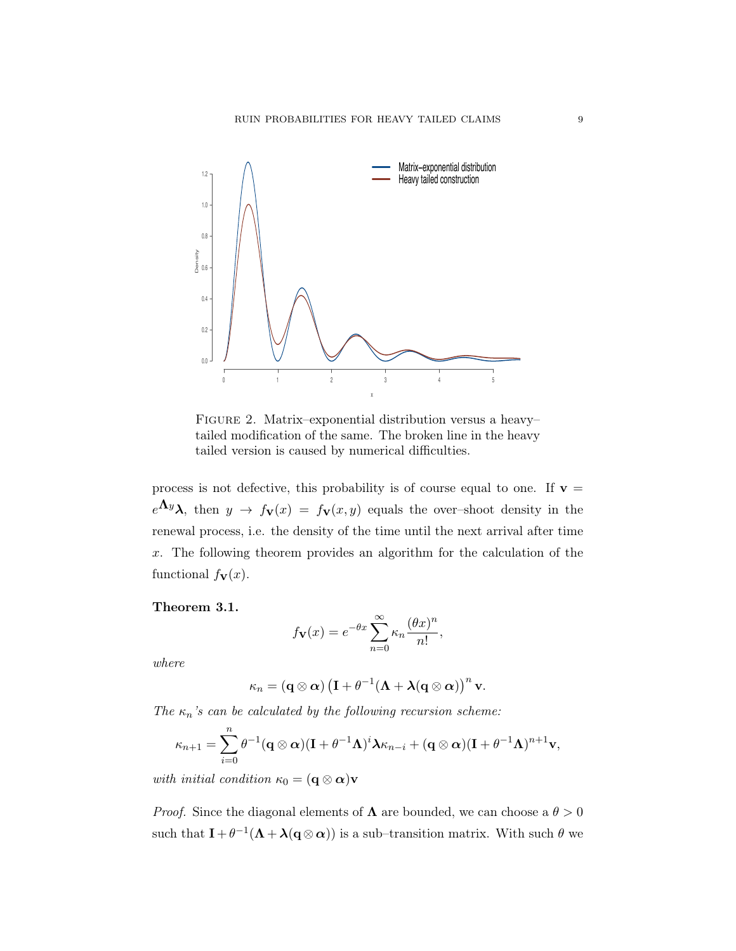

Figure 2. Matrix–exponential distribution versus a heavy– tailed modification of the same. The broken line in the heavy tailed version is caused by numerical difficulties.

process is not defective, this probability is of course equal to one. If  $v =$  $e^{\mathbf{\Lambda} y}\lambda$ , then  $y \to f_{\mathbf{V}}(x) = f_{\mathbf{V}}(x, y)$  equals the over-shoot density in the renewal process, i.e. the density of the time until the next arrival after time x. The following theorem provides an algorithm for the calculation of the functional  $f_{\mathbf{V}}(x)$ .

Theorem 3.1.

$$
f_{\mathbf{V}}(x) = e^{-\theta x} \sum_{n=0}^{\infty} \kappa_n \frac{(\theta x)^n}{n!},
$$

where

$$
\kappa_n = \left( {\mathbf{q} \otimes \boldsymbol{\alpha}} \right) \left( \mathbf{I} + \theta^{-1} (\boldsymbol{\Lambda} + \boldsymbol{\lambda} (\mathbf{q} \otimes \boldsymbol{\alpha}) \right)^n \mathbf{v}.
$$

The  $\kappa_n$ 's can be calculated by the following recursion scheme:

$$
\kappa_{n+1} = \sum_{i=0}^n \theta^{-1} (\mathbf{q} \otimes \boldsymbol{\alpha}) (\mathbf{I} + \theta^{-1} \boldsymbol{\Lambda})^i \boldsymbol{\lambda} \kappa_{n-i} + (\mathbf{q} \otimes \boldsymbol{\alpha}) (\mathbf{I} + \theta^{-1} \boldsymbol{\Lambda})^{n+1} \mathbf{v},
$$

with initial condition  $\kappa_0 = (\mathbf{q} \otimes \boldsymbol{\alpha})\mathbf{v}$ 

*Proof.* Since the diagonal elements of  $\Lambda$  are bounded, we can choose a  $\theta > 0$ such that  $I + \theta^{-1}(\Lambda + \lambda(q \otimes \alpha))$  is a sub-transition matrix. With such  $\theta$  we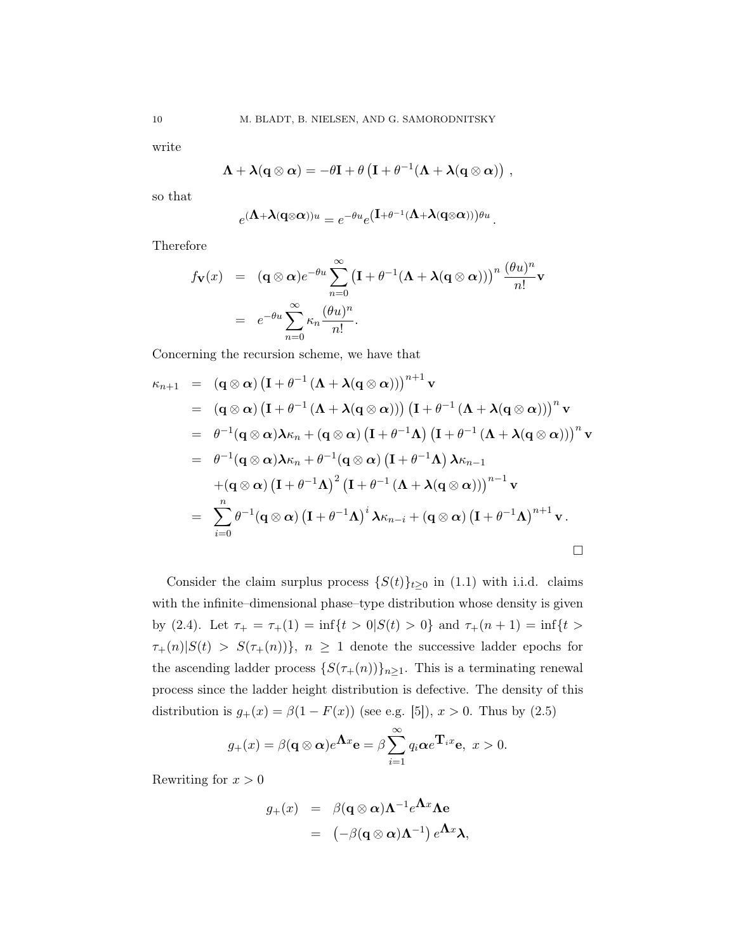write

$$
\boldsymbol{\Lambda} + \boldsymbol{\lambda} ({\bf q} \otimes \boldsymbol{\alpha}) = -\theta {\bf I} + \theta \left( {\bf I} + \theta^{-1} (\boldsymbol{\Lambda} + \boldsymbol{\lambda}({\bf q} \otimes \boldsymbol{\alpha})) \right) ,
$$

so that

$$
e^{(\mathbf{\Lambda}+\mathbf{\lambda}(\mathbf{q}\otimes\boldsymbol{\alpha}))u}=e^{-\theta u}e^{(\mathbf{I}+\theta^{-1}(\mathbf{\Lambda}+\mathbf{\lambda}(\mathbf{q}\otimes\boldsymbol{\alpha}))\theta u}.
$$

Therefore

$$
f_{\mathbf{V}}(x) = (\mathbf{q} \otimes \alpha)e^{-\theta u} \sum_{n=0}^{\infty} (\mathbf{I} + \theta^{-1}(\mathbf{\Lambda} + \mathbf{\lambda}(\mathbf{q} \otimes \alpha)))^{n} \frac{(\theta u)^{n}}{n!} \mathbf{v}
$$
  
=  $e^{-\theta u} \sum_{n=0}^{\infty} \kappa_{n} \frac{(\theta u)^{n}}{n!}.$ 

Concerning the recursion scheme, we have that

$$
\kappa_{n+1} = (\mathbf{q} \otimes \mathbf{\alpha}) (\mathbf{I} + \theta^{-1} (\mathbf{\Lambda} + \mathbf{\lambda} (\mathbf{q} \otimes \mathbf{\alpha})))^{n+1} \mathbf{v}
$$
  
\n
$$
= (\mathbf{q} \otimes \mathbf{\alpha}) (\mathbf{I} + \theta^{-1} (\mathbf{\Lambda} + \mathbf{\lambda} (\mathbf{q} \otimes \mathbf{\alpha}))) (\mathbf{I} + \theta^{-1} (\mathbf{\Lambda} + \mathbf{\lambda} (\mathbf{q} \otimes \mathbf{\alpha})))^{n} \mathbf{v}
$$
  
\n
$$
= \theta^{-1} (\mathbf{q} \otimes \mathbf{\alpha}) \mathbf{\lambda} \kappa_{n} + (\mathbf{q} \otimes \mathbf{\alpha}) (\mathbf{I} + \theta^{-1} \mathbf{\Lambda}) (\mathbf{I} + \theta^{-1} (\mathbf{\Lambda} + \mathbf{\lambda} (\mathbf{q} \otimes \mathbf{\alpha})))^{n} \mathbf{v}
$$
  
\n
$$
= \theta^{-1} (\mathbf{q} \otimes \mathbf{\alpha}) \mathbf{\lambda} \kappa_{n} + \theta^{-1} (\mathbf{q} \otimes \mathbf{\alpha}) (\mathbf{I} + \theta^{-1} \mathbf{\Lambda}) \mathbf{\lambda} \kappa_{n-1}
$$
  
\n
$$
+ (\mathbf{q} \otimes \mathbf{\alpha}) (\mathbf{I} + \theta^{-1} \mathbf{\Lambda})^{2} (\mathbf{I} + \theta^{-1} (\mathbf{\Lambda} + \mathbf{\lambda} (\mathbf{q} \otimes \mathbf{\alpha})))^{n-1} \mathbf{v}
$$
  
\n
$$
= \sum_{i=0}^{n} \theta^{-1} (\mathbf{q} \otimes \mathbf{\alpha}) (\mathbf{I} + \theta^{-1} \mathbf{\Lambda})^{i} \mathbf{\lambda} \kappa_{n-i} + (\mathbf{q} \otimes \mathbf{\alpha}) (\mathbf{I} + \theta^{-1} \mathbf{\Lambda})^{n+1} \mathbf{v}.
$$

Consider the claim surplus process  $\{S(t)\}_{t\geq 0}$  in (1.1) with i.i.d. claims with the infinite–dimensional phase–type distribution whose density is given by (2.4). Let  $\tau_+ = \tau_+(1) = \inf\{t > 0 | S(t) > 0\}$  and  $\tau_+(n+1) = \inf\{t > 0 | S(t) > 0\}$  $\tau_{+}(n)|S(t) > S(\tau_{+}(n))\}, n \geq 1$  denote the successive ladder epochs for the ascending ladder process  $\{S(\tau_+(n))\}_{n\geq 1}$ . This is a terminating renewal process since the ladder height distribution is defective. The density of this distribution is  $g_{+}(x) = \beta(1 - F(x))$  (see e.g. [5]),  $x > 0$ . Thus by (2.5)

$$
g_{+}(x) = \beta(\mathbf{q} \otimes \boldsymbol{\alpha})e^{\mathbf{\Lambda}x}\mathbf{e} = \beta \sum_{i=1}^{\infty} q_{i}\boldsymbol{\alpha}e^{\mathbf{T}_{i}x}\mathbf{e}, \ x > 0.
$$

Rewriting for  $x > 0$ 

$$
g_{+}(x) = \beta(\mathbf{q} \otimes \alpha)\Lambda^{-1}e^{\Lambda x}\Lambda e
$$
  
=  $(-\beta(\mathbf{q} \otimes \alpha)\Lambda^{-1})e^{\Lambda x}\lambda,$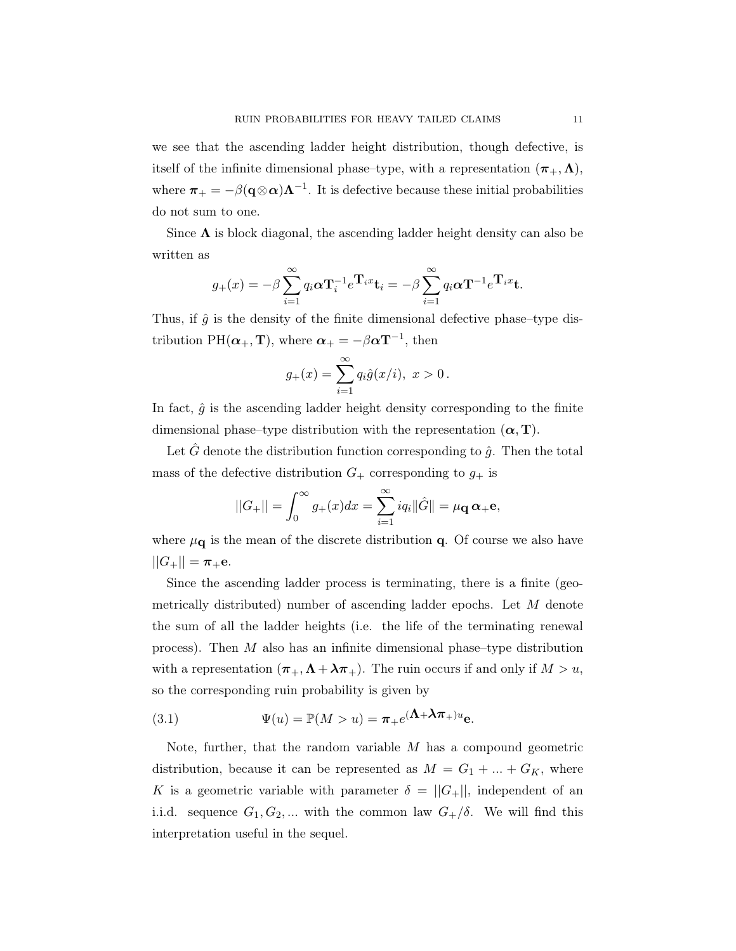we see that the ascending ladder height distribution, though defective, is itself of the infinite dimensional phase–type, with a representation  $(\pi_+,\Lambda)$ , where  $\pi_+ = -\beta(\mathbf{q} \otimes \alpha)\Lambda^{-1}$ . It is defective because these initial probabilities do not sum to one.

Since  $\Lambda$  is block diagonal, the ascending ladder height density can also be written as

$$
g_{+}(x) = -\beta \sum_{i=1}^{\infty} q_i \alpha \mathbf{T}_i^{-1} e^{\mathbf{T}_i x} \mathbf{t}_i = -\beta \sum_{i=1}^{\infty} q_i \alpha \mathbf{T}^{-1} e^{\mathbf{T}_i x} \mathbf{t}.
$$

Thus, if  $\hat{g}$  is the density of the finite dimensional defective phase–type distribution PH( $\alpha_{+}$ , T), where  $\alpha_{+} = -\beta \alpha T^{-1}$ , then

$$
g_{+}(x) = \sum_{i=1}^{\infty} q_i \hat{g}(x/i), \ x > 0.
$$

In fact,  $\hat{g}$  is the ascending ladder height density corresponding to the finite dimensional phase–type distribution with the representation  $(\alpha, T)$ .

Let G denote the distribution function corresponding to  $\hat{g}$ . Then the total mass of the defective distribution  $G_+$  corresponding to  $g_+$  is

$$
||G_{+}|| = \int_{0}^{\infty} g_{+}(x)dx = \sum_{i=1}^{\infty} iq_{i} ||\hat{G}|| = \mu_{\mathbf{Q}} \alpha_{+} \mathbf{e},
$$

where  $\mu_{\mathbf{q}}$  is the mean of the discrete distribution  $\mathbf{q}$ . Of course we also have  $||G_+|| = \pi_+e.$ 

Since the ascending ladder process is terminating, there is a finite (geometrically distributed) number of ascending ladder epochs. Let M denote the sum of all the ladder heights (i.e. the life of the terminating renewal process). Then  $M$  also has an infinite dimensional phase–type distribution with a representation  $(\pi_+, \Lambda + \lambda \pi_+)$ . The ruin occurs if and only if  $M > u$ , so the corresponding ruin probability is given by

(3.1) 
$$
\Psi(u) = \mathbb{P}(M > u) = \pi_+ e^{(\Lambda + \lambda \pi_+)u} e.
$$

Note, further, that the random variable  $M$  has a compound geometric distribution, because it can be represented as  $M = G_1 + ... + G_K$ , where K is a geometric variable with parameter  $\delta = ||G_+||$ , independent of an i.i.d. sequence  $G_1, G_2, ...$  with the common law  $G_+/\delta$ . We will find this interpretation useful in the sequel.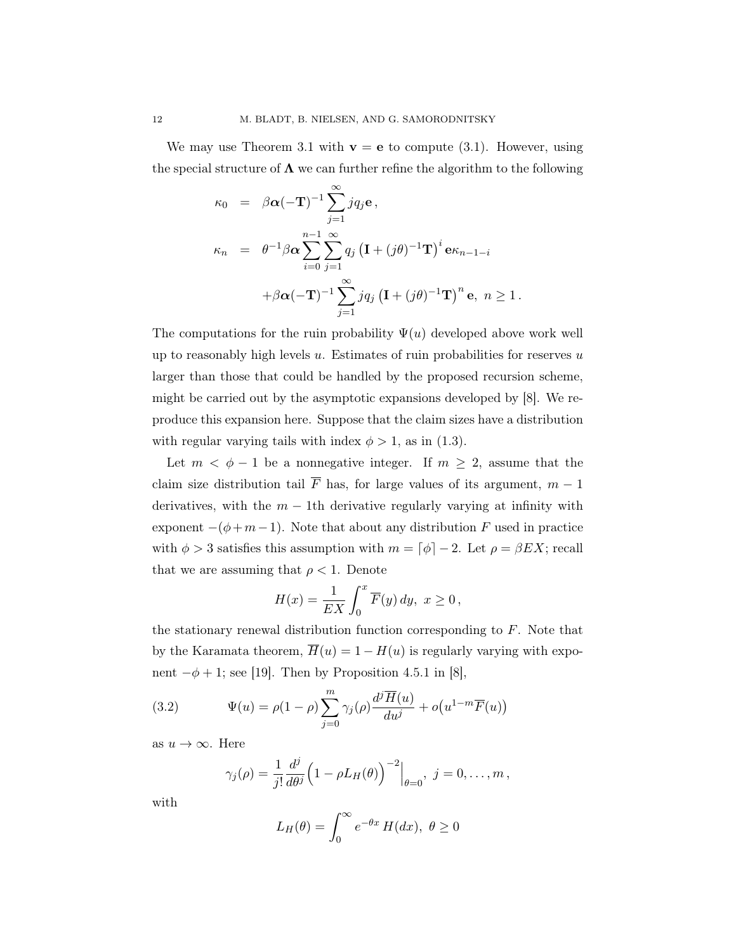We may use Theorem 3.1 with  $\mathbf{v} = \mathbf{e}$  to compute (3.1). However, using the special structure of  $\Lambda$  we can further refine the algorithm to the following

$$
\kappa_0 = \beta \alpha (-\mathbf{T})^{-1} \sum_{j=1}^{\infty} j q_j \mathbf{e},
$$
  
\n
$$
\kappa_n = \theta^{-1} \beta \alpha \sum_{i=0}^{n-1} \sum_{j=1}^{\infty} q_j (\mathbf{I} + (j\theta)^{-1} \mathbf{T})^i \mathbf{e} \kappa_{n-1-i}
$$
  
\n
$$
+ \beta \alpha (-\mathbf{T})^{-1} \sum_{j=1}^{\infty} j q_j (\mathbf{I} + (j\theta)^{-1} \mathbf{T})^n \mathbf{e}, n \ge 1.
$$

The computations for the ruin probability  $\Psi(u)$  developed above work well up to reasonably high levels  $u$ . Estimates of ruin probabilities for reserves  $u$ larger than those that could be handled by the proposed recursion scheme, might be carried out by the asymptotic expansions developed by [8]. We reproduce this expansion here. Suppose that the claim sizes have a distribution with regular varying tails with index  $\phi > 1$ , as in (1.3).

Let  $m < \phi - 1$  be a nonnegative integer. If  $m \geq 2$ , assume that the claim size distribution tail  $\overline{F}$  has, for large values of its argument,  $m-1$ derivatives, with the  $m - 1$ th derivative regularly varying at infinity with exponent  $-(\phi + m - 1)$ . Note that about any distribution F used in practice with  $\phi > 3$  satisfies this assumption with  $m = \lceil \phi \rceil - 2$ . Let  $\rho = \beta E X$ ; recall that we are assuming that  $\rho < 1$ . Denote

$$
H(x) = \frac{1}{EX} \int_0^x \overline{F}(y) dy, \ x \ge 0,
$$

the stationary renewal distribution function corresponding to  $F$ . Note that by the Karamata theorem,  $\overline{H}(u) = 1 - H(u)$  is regularly varying with exponent  $-\phi + 1$ ; see [19]. Then by Proposition 4.5.1 in [8],

(3.2) 
$$
\Psi(u) = \rho(1-\rho)\sum_{j=0}^{m} \gamma_j(\rho) \frac{d^j \overline{H}(u)}{du^j} + o(u^{1-m}\overline{F}(u))
$$

as  $u \to \infty$ . Here

$$
\gamma_j(\rho) = \frac{1}{j!} \frac{d^j}{d\theta^j} \Big( 1 - \rho L_H(\theta) \Big)^{-2} \Big|_{\theta=0}, \ j = 0, \ldots, m,
$$

with

$$
L_H(\theta) = \int_0^\infty e^{-\theta x} H(dx), \ \theta \ge 0
$$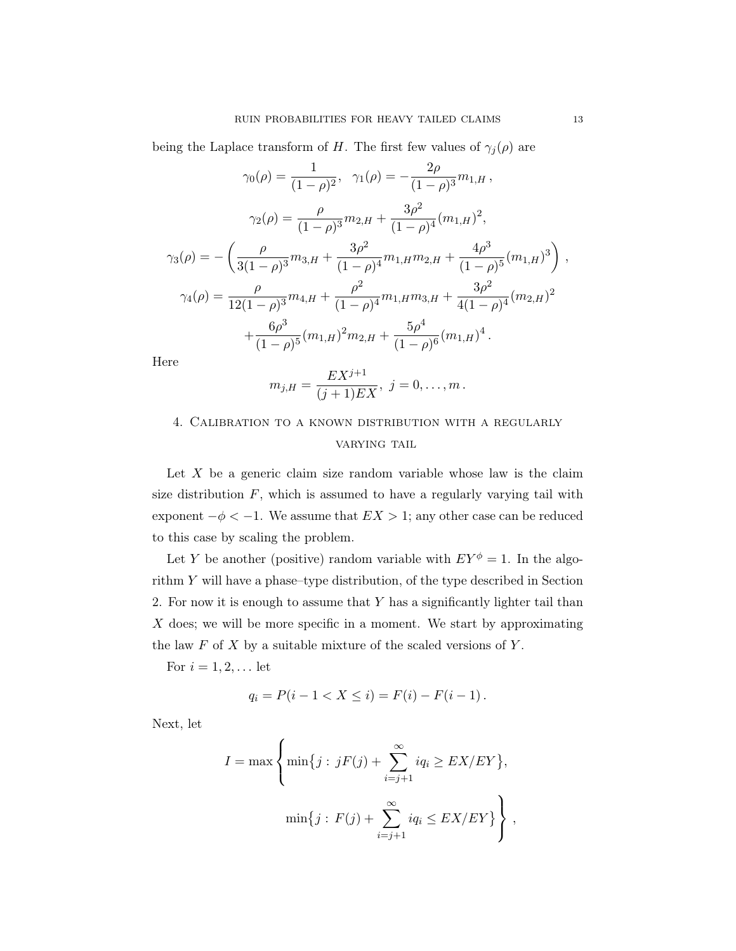being the Laplace transform of H. The first few values of  $\gamma_i(\rho)$  are

$$
\gamma_0(\rho) = \frac{1}{(1-\rho)^2}, \quad \gamma_1(\rho) = -\frac{2\rho}{(1-\rho)^3} m_{1,H},
$$

$$
\gamma_2(\rho) = \frac{\rho}{(1-\rho)^3} m_{2,H} + \frac{3\rho^2}{(1-\rho)^4} (m_{1,H})^2,
$$

$$
\gamma_3(\rho) = -\left(\frac{\rho}{3(1-\rho)^3} m_{3,H} + \frac{3\rho^2}{(1-\rho)^4} m_{1,H} m_{2,H} + \frac{4\rho^3}{(1-\rho)^5} (m_{1,H})^3\right),
$$

$$
\gamma_4(\rho) = \frac{\rho}{12(1-\rho)^3} m_{4,H} + \frac{\rho^2}{(1-\rho)^4} m_{1,H} m_{3,H} + \frac{3\rho^2}{4(1-\rho)^4} (m_{2,H})^2
$$

$$
+ \frac{6\rho^3}{(1-\rho)^5} (m_{1,H})^2 m_{2,H} + \frac{5\rho^4}{(1-\rho)^6} (m_{1,H})^4.
$$

Here

$$
m_{j,H} = \frac{EX^{j+1}}{(j+1)EX}, \ j = 0, \ldots, m.
$$

# 4. Calibration to a known distribution with a regularly VARYING TAIL

Let  $X$  be a generic claim size random variable whose law is the claim size distribution  $F$ , which is assumed to have a regularly varying tail with exponent  $-\phi < -1$ . We assume that  $EX > 1$ ; any other case can be reduced to this case by scaling the problem.

Let Y be another (positive) random variable with  $EY^{\phi} = 1$ . In the algorithm Y will have a phase–type distribution, of the type described in Section 2. For now it is enough to assume that Y has a significantly lighter tail than  $X$  does; we will be more specific in a moment. We start by approximating the law  $F$  of  $X$  by a suitable mixture of the scaled versions of  $Y$ .

For  $i = 1, 2, \ldots$  let

$$
q_i = P(i - 1 < X \leq i) = F(i) - F(i - 1) \, .
$$

Next, let

$$
I = \max \left\{ \min\{j : jF(j) + \sum_{i=j+1}^{\infty} iq_i \geq EX/EY\},\right\}
$$

$$
\min\{j : F(j) + \sum_{i=j+1}^{\infty} iq_i \leq EX/EY\} \right\},
$$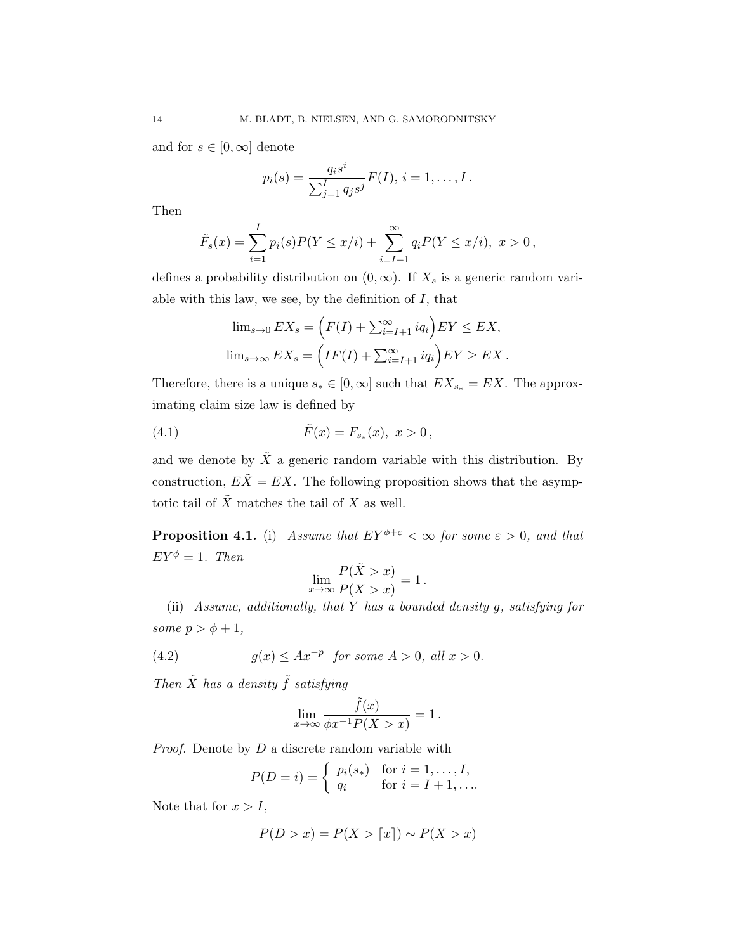and for  $s \in [0, \infty]$  denote

$$
p_i(s) = \frac{q_i s^i}{\sum_{j=1}^I q_j s^j} F(I), i = 1, \dots, I.
$$

Then

$$
\tilde{F}_s(x) = \sum_{i=1}^I p_i(s) P(Y \le x/i) + \sum_{i=I+1}^\infty q_i P(Y \le x/i), \ x > 0,
$$

defines a probability distribution on  $(0, \infty)$ . If  $X_s$  is a generic random variable with this law, we see, by the definition of  $I$ , that

$$
\lim_{s \to 0} EX_s = \left( F(I) + \sum_{i=I+1}^{\infty} iq_i \right) EY \le EX,
$$
  

$$
\lim_{s \to \infty} EX_s = \left( IF(I) + \sum_{i=I+1}^{\infty} iq_i \right) EY \ge EX.
$$

Therefore, there is a unique  $s_* \in [0, \infty]$  such that  $EX_{s_*} = EX$ . The approximating claim size law is defined by

(4.1) 
$$
\tilde{F}(x) = F_{s_*}(x), \ x > 0,
$$

and we denote by  $\tilde{X}$  a generic random variable with this distribution. By construction,  $E\tilde{X} = EX$ . The following proposition shows that the asymptotic tail of  $\tilde{X}$  matches the tail of X as well.

**Proposition 4.1.** (i) Assume that  $EY^{\phi+\varepsilon} < \infty$  for some  $\varepsilon > 0$ , and that  $EY^{\phi} = 1$ . Then

$$
\lim_{x \to \infty} \frac{P(\tilde{X} > x)}{P(X > x)} = 1.
$$

(ii) Assume, additionally, that  $Y$  has a bounded density  $g$ , satisfying for some  $p > \phi + 1$ ,

(4.2) 
$$
g(x) \leq Ax^{-p} \text{ for some } A > 0, \text{ all } x > 0.
$$

Then  $\tilde{X}$  has a density  $\tilde{f}$  satisfying

$$
\lim_{x \to \infty} \frac{\tilde{f}(x)}{\phi x^{-1} P(X > x)} = 1.
$$

*Proof.* Denote by  $D$  a discrete random variable with

$$
P(D = i) = \begin{cases} p_i(s_*) & \text{for } i = 1, \dots, I, \\ q_i & \text{for } i = I + 1, \dots \end{cases}
$$

Note that for  $x > I$ ,

$$
P(D > x) = P(X > \lceil x \rceil) \sim P(X > x)
$$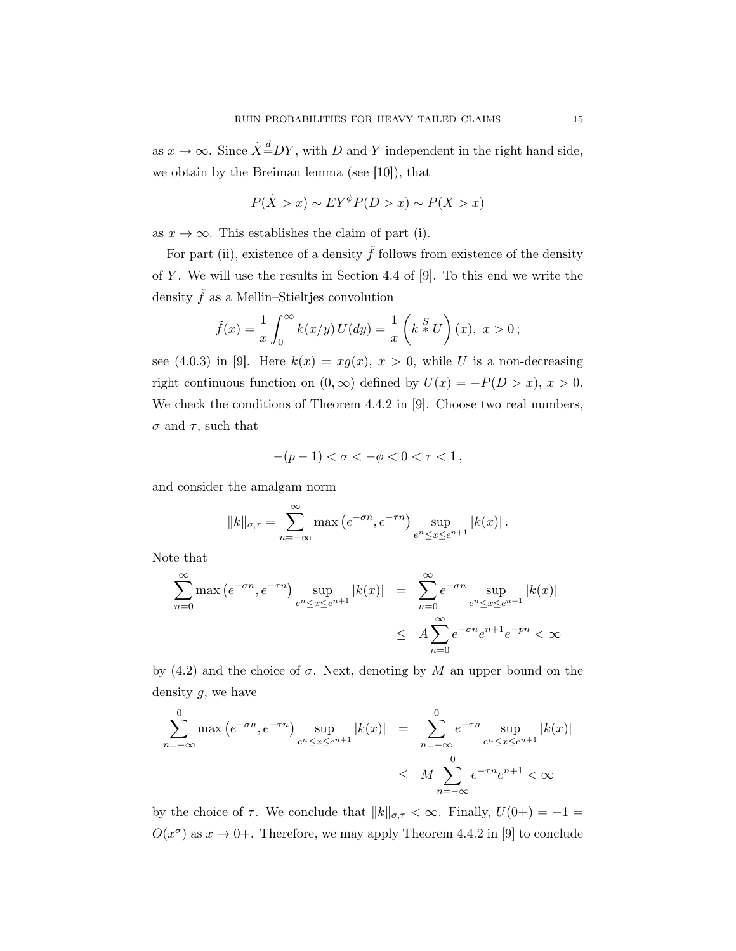as  $x \to \infty$ . Since  $\tilde{X} \stackrel{d}{=} DY$ , with D and Y independent in the right hand side, we obtain by the Breiman lemma (see [10]), that

$$
P(\tilde{X} > x) \sim EY^{\phi}P(D > x) \sim P(X > x)
$$

as  $x \to \infty$ . This establishes the claim of part (i).

For part (ii), existence of a density  $\tilde{f}$  follows from existence of the density of  $Y$ . We will use the results in Section 4.4 of [9]. To this end we write the density  $\tilde{f}$  as a Mellin–Stieltjes convolution

$$
\tilde{f}(x) = \frac{1}{x} \int_0^\infty k(x/y) U(dy) = \frac{1}{x} \left( k \stackrel{S}{*} U \right)(x), \ x > 0;
$$

see (4.0.3) in [9]. Here  $k(x) = xg(x), x > 0$ , while U is a non-decreasing right continuous function on  $(0, \infty)$  defined by  $U(x) = -P(D > x), x > 0$ . We check the conditions of Theorem 4.4.2 in [9]. Choose two real numbers,  $\sigma$  and  $\tau$ , such that

$$
-(p-1) < \sigma < -\phi < 0 < \tau < 1\,,
$$

and consider the amalgam norm

$$
||k||_{\sigma,\tau} = \sum_{n=-\infty}^{\infty} \max\left(e^{-\sigma n}, e^{-\tau n}\right) \sup_{e^n \le x \le e^{n+1}} |k(x)|.
$$

Note that

$$
\sum_{n=0}^{\infty} \max (e^{-\sigma n}, e^{-\tau n}) \sup_{e^n \le x \le e^{n+1}} |k(x)| = \sum_{n=0}^{\infty} e^{-\sigma n} \sup_{e^n \le x \le e^{n+1}} |k(x)|
$$
  

$$
\le A \sum_{n=0}^{\infty} e^{-\sigma n} e^{n+1} e^{-pn} < \infty
$$

by (4.2) and the choice of  $\sigma$ . Next, denoting by M an upper bound on the density  $g$ , we have

$$
\sum_{n=-\infty}^{0} \max(e^{-\sigma n}, e^{-\tau n}) \sup_{e^n \le x \le e^{n+1}} |k(x)| = \sum_{n=-\infty}^{0} e^{-\tau n} \sup_{e^n \le x \le e^{n+1}} |k(x)|
$$
  

$$
\le M \sum_{n=-\infty}^{0} e^{-\tau n} e^{n+1} < \infty
$$

by the choice of  $\tau$ . We conclude that  $||k||_{\sigma,\tau} < \infty$ . Finally,  $U(0+) = -1 =$  $O(x^{\sigma})$  as  $x \to 0+$ . Therefore, we may apply Theorem 4.4.2 in [9] to conclude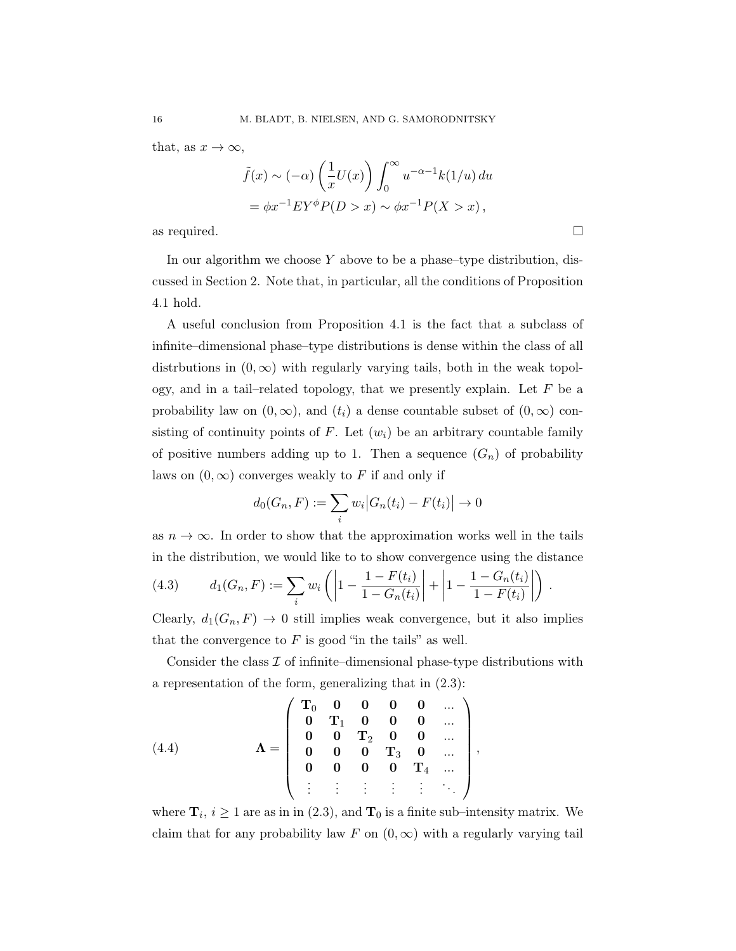that, as  $x \to \infty$ ,

$$
\tilde{f}(x) \sim (-\alpha) \left(\frac{1}{x}U(x)\right) \int_0^\infty u^{-\alpha-1} k(1/u) du
$$
  
=  $\phi x^{-1} E Y^{\phi} P(D > x) \sim \phi x^{-1} P(X > x),$ 

as required.  $\Box$ 

In our algorithm we choose  $Y$  above to be a phase–type distribution, discussed in Section 2. Note that, in particular, all the conditions of Proposition 4.1 hold.

A useful conclusion from Proposition 4.1 is the fact that a subclass of infinite–dimensional phase–type distributions is dense within the class of all distributions in  $(0, \infty)$  with regularly varying tails, both in the weak topology, and in a tail–related topology, that we presently explain. Let  $F$  be a probability law on  $(0, \infty)$ , and  $(t_i)$  a dense countable subset of  $(0, \infty)$  consisting of continuity points of F. Let  $(w_i)$  be an arbitrary countable family of positive numbers adding up to 1. Then a sequence  $(G_n)$  of probability laws on  $(0, \infty)$  converges weakly to F if and only if

$$
d_0(G_n, F) := \sum_i w_i |G_n(t_i) - F(t_i)| \to 0
$$

as  $n \to \infty$ . In order to show that the approximation works well in the tails in the distribution, we would like to to show convergence using the distance

.

,

(4.3) 
$$
d_1(G_n, F) := \sum_i w_i \left( \left| 1 - \frac{1 - F(t_i)}{1 - G_n(t_i)} \right| + \left| 1 - \frac{1 - G_n(t_i)}{1 - F(t_i)} \right| \right)
$$

Clearly,  $d_1(G_n, F) \to 0$  still implies weak convergence, but it also implies that the convergence to  $F$  is good "in the tails" as well.

Consider the class  $\mathcal I$  of infinite–dimensional phase-type distributions with a representation of the form, generalizing that in (2.3):

(4.4) 
$$
\Lambda = \left(\begin{array}{cccccc} T_0 & 0 & 0 & 0 & 0 & \dots \\ 0 & T_1 & 0 & 0 & 0 & \dots \\ 0 & 0 & T_2 & 0 & 0 & \dots \\ 0 & 0 & 0 & T_3 & 0 & \dots \\ 0 & 0 & 0 & 0 & T_4 & \dots \\ \vdots & \vdots & \vdots & \vdots & \vdots & \ddots \end{array}\right)
$$

where  $\mathbf{T}_i$ ,  $i \geq 1$  are as in in (2.3), and  $\mathbf{T}_0$  is a finite sub-intensity matrix. We claim that for any probability law F on  $(0, \infty)$  with a regularly varying tail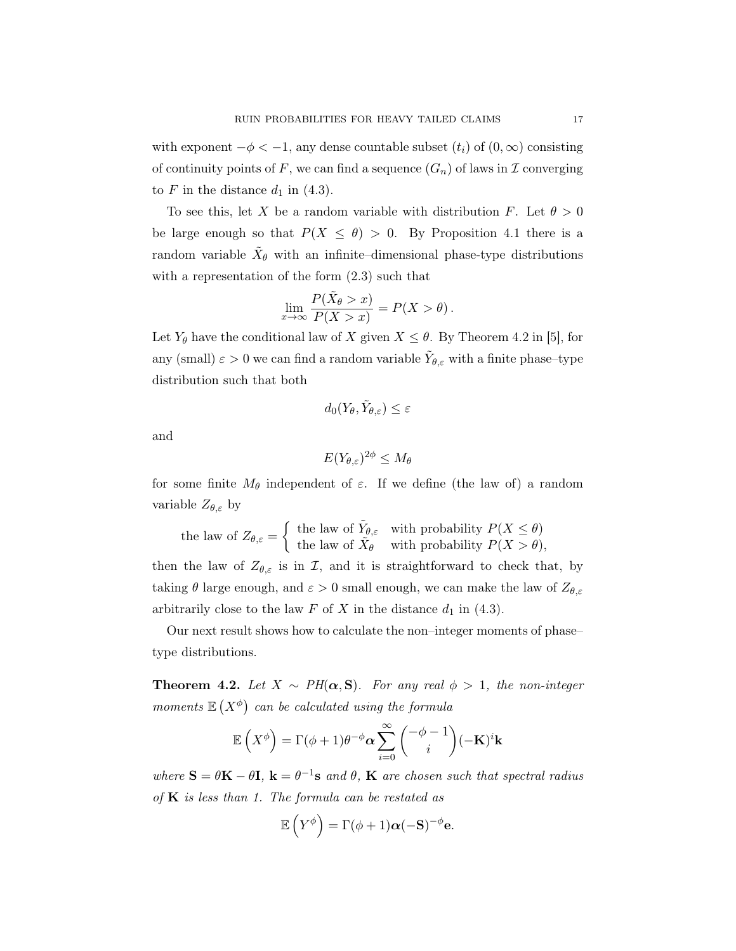with exponent  $-\phi < -1$ , any dense countable subset  $(t_i)$  of  $(0, \infty)$  consisting of continuity points of F, we can find a sequence  $(G_n)$  of laws in  $\mathcal I$  converging to  $F$  in the distance  $d_1$  in (4.3).

To see this, let X be a random variable with distribution F. Let  $\theta > 0$ be large enough so that  $P(X \leq \theta) > 0$ . By Proposition 4.1 there is a random variable  $\tilde{X}_{\theta}$  with an infinite–dimensional phase-type distributions with a representation of the form (2.3) such that

$$
\lim_{x \to \infty} \frac{P(\tilde{X}_{\theta} > x)}{P(X > x)} = P(X > \theta).
$$

Let  $Y_{\theta}$  have the conditional law of X given  $X \leq \theta$ . By Theorem 4.2 in [5], for any (small)  $\varepsilon > 0$  we can find a random variable  $\tilde{Y}_{\theta,\varepsilon}$  with a finite phase–type distribution such that both

$$
d_0(Y_{\theta}, \tilde{Y}_{\theta, \varepsilon}) \leq \varepsilon
$$

and

$$
E(Y_{\theta,\varepsilon})^{2\phi} \le M_\theta
$$

for some finite  $M_{\theta}$  independent of  $\varepsilon$ . If we define (the law of) a random variable  $Z_{\theta,\varepsilon}$  by

the law of 
$$
Z_{\theta,\varepsilon} = \begin{cases} \text{ the law of } \tilde{Y}_{\theta,\varepsilon} & \text{with probability } P(X \leq \theta) \\ \text{the law of } \tilde{X}_{\theta} & \text{with probability } P(X > \theta), \end{cases}
$$

then the law of  $Z_{\theta,\varepsilon}$  is in  $\mathcal{I}$ , and it is straightforward to check that, by taking  $\theta$  large enough, and  $\varepsilon > 0$  small enough, we can make the law of  $Z_{\theta,\varepsilon}$ arbitrarily close to the law  $F$  of  $X$  in the distance  $d_1$  in (4.3).

Our next result shows how to calculate the non–integer moments of phase– type distributions.

**Theorem 4.2.** Let  $X \sim PH(\alpha, S)$ . For any real  $\phi > 1$ , the non-integer moments  $\mathbb{E}(X^{\phi})$  can be calculated using the formula

$$
\mathbb{E}\left(X^{\phi}\right) = \Gamma(\phi + 1)\theta^{-\phi}\alpha \sum_{i=0}^{\infty} {\binom{-\phi - 1}{i}} (-\mathbf{K})^i \mathbf{k}
$$

where  $S = \theta K - \theta I$ ,  $k = \theta^{-1} s$  and  $\theta$ ,  $K$  are chosen such that spectral radius of  $K$  is less than 1. The formula can be restated as

$$
\mathbb{E}\left(Y^{\phi}\right) = \Gamma(\phi + 1)\alpha(-\mathbf{S})^{-\phi}\mathbf{e}.
$$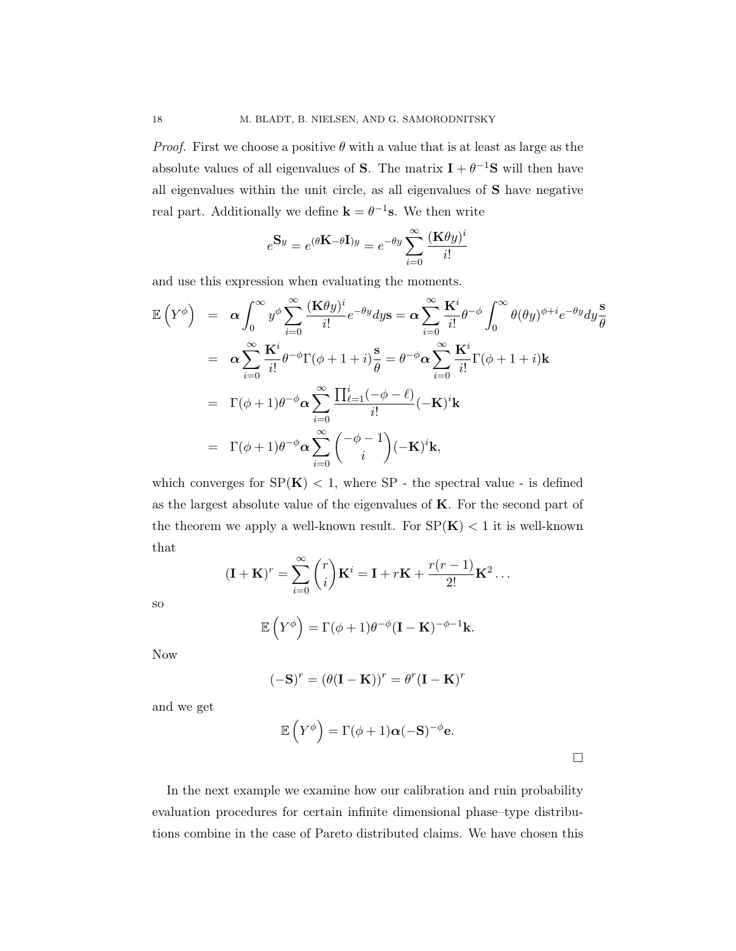*Proof.* First we choose a positive  $\theta$  with a value that is at least as large as the absolute values of all eigenvalues of **S**. The matrix  $I + \theta^{-1}S$  will then have all eigenvalues within the unit circle, as all eigenvalues of S have negative real part. Additionally we define  $\mathbf{k} = \theta^{-1} \mathbf{s}$ . We then write

$$
e^{\mathbf{S}y} = e^{(\theta \mathbf{K} - \theta \mathbf{I})y} = e^{-\theta y} \sum_{i=0}^{\infty} \frac{(\mathbf{K}\theta y)^i}{i!}
$$

and use this expression when evaluating the moments.

$$
\mathbb{E}\left(Y^{\phi}\right) = \alpha \int_{0}^{\infty} y^{\phi} \sum_{i=0}^{\infty} \frac{(\mathbf{K}\theta y)^{i}}{i!} e^{-\theta y} dy \mathbf{s} = \alpha \sum_{i=0}^{\infty} \frac{\mathbf{K}^{i}}{i!} \theta^{-\phi} \int_{0}^{\infty} \theta(\theta y)^{\phi+i} e^{-\theta y} dy \frac{\mathbf{s}}{\theta}
$$
  
\n
$$
= \alpha \sum_{i=0}^{\infty} \frac{\mathbf{K}^{i}}{i!} \theta^{-\phi} \Gamma(\phi+1+i) \frac{\mathbf{s}}{\theta} = \theta^{-\phi} \alpha \sum_{i=0}^{\infty} \frac{\mathbf{K}^{i}}{i!} \Gamma(\phi+1+i) \mathbf{k}
$$
  
\n
$$
= \Gamma(\phi+1) \theta^{-\phi} \alpha \sum_{i=0}^{\infty} \frac{\prod_{\ell=1}^{i} (-\phi-\ell)}{i!} (-\mathbf{K})^{i} \mathbf{k}
$$
  
\n
$$
= \Gamma(\phi+1) \theta^{-\phi} \alpha \sum_{i=0}^{\infty} {\binom{-\phi-1}{i}} (-\mathbf{K})^{i} \mathbf{k},
$$

which converges for  $SP(K) < 1$ , where SP - the spectral value - is defined as the largest absolute value of the eigenvalues of K. For the second part of the theorem we apply a well-known result. For  $SP(K) < 1$  it is well-known that

$$
(\mathbf{I} + \mathbf{K})^r = \sum_{i=0}^{\infty} {r \choose i} \mathbf{K}^i = \mathbf{I} + r\mathbf{K} + \frac{r(r-1)}{2!} \mathbf{K}^2 \dots
$$

so

$$
\mathbb{E}\left(Y^{\phi}\right) = \Gamma(\phi+1)\theta^{-\phi}(\mathbf{I}-\mathbf{K})^{-\phi-1}\mathbf{k}.
$$

Now

$$
(-\mathbf{S})^r = (\theta(\mathbf{I} - \mathbf{K}))^r = \theta^r (\mathbf{I} - \mathbf{K})^r
$$

and we get

$$
\mathbb{E}\left(Y^{\phi}\right) = \Gamma(\phi + 1)\alpha(-\mathbf{S})^{-\phi}\mathbf{e}.
$$

In the next example we examine how our calibration and ruin probability evaluation procedures for certain infinite dimensional phase–type distributions combine in the case of Pareto distributed claims. We have chosen this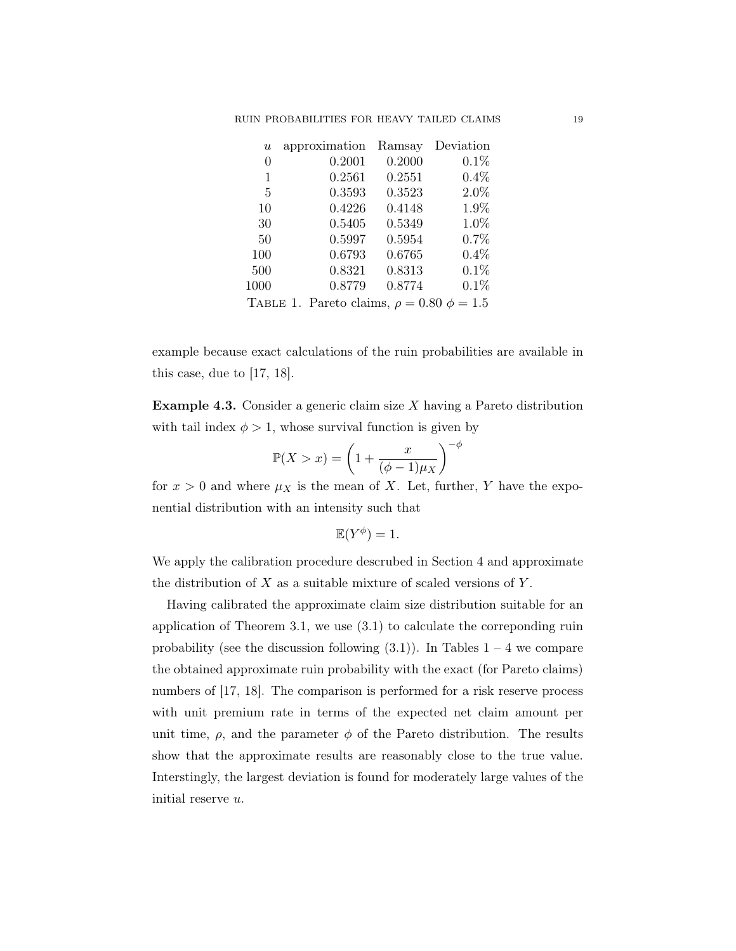| $\boldsymbol{u}$ | approximation                                    | Ramsay | Deviation |
|------------------|--------------------------------------------------|--------|-----------|
| 0                | 0.2001                                           | 0.2000 | 0.1%      |
| 1                | 0.2561                                           | 0.2551 | $0.4\%$   |
| 5                | 0.3593                                           | 0.3523 | 2.0%      |
| 10               | 0.4226                                           | 0.4148 | 1.9%      |
| 30               | 0.5405                                           | 0.5349 | 1.0%      |
| 50               | 0.5997                                           | 0.5954 | 0.7%      |
| 100              | 0.6793                                           | 0.6765 | $0.4\%$   |
| 500              | 0.8321                                           | 0.8313 | 0.1%      |
| 1000             | 0.8779                                           | 0.8774 | 0.1%      |
|                  | TABLE 1. Pareto claims, $\rho = 0.80 \phi = 1.5$ |        |           |

example because exact calculations of the ruin probabilities are available in this case, due to [17, 18].

**Example 4.3.** Consider a generic claim size  $X$  having a Pareto distribution with tail index  $\phi > 1$ , whose survival function is given by

$$
\mathbb{P}(X > x) = \left(1 + \frac{x}{(\phi - 1)\mu_X}\right)^{-\phi}
$$

for  $x > 0$  and where  $\mu_X$  is the mean of X. Let, further, Y have the exponential distribution with an intensity such that

$$
\mathbb{E}(Y^{\phi}) = 1.
$$

We apply the calibration procedure descrubed in Section 4 and approximate the distribution of  $X$  as a suitable mixture of scaled versions of  $Y$ .

Having calibrated the approximate claim size distribution suitable for an application of Theorem 3.1, we use (3.1) to calculate the correponding ruin probability (see the discussion following  $(3.1)$ ). In Tables  $1 - 4$  we compare the obtained approximate ruin probability with the exact (for Pareto claims) numbers of [17, 18]. The comparison is performed for a risk reserve process with unit premium rate in terms of the expected net claim amount per unit time,  $\rho$ , and the parameter  $\phi$  of the Pareto distribution. The results show that the approximate results are reasonably close to the true value. Interstingly, the largest deviation is found for moderately large values of the initial reserve u.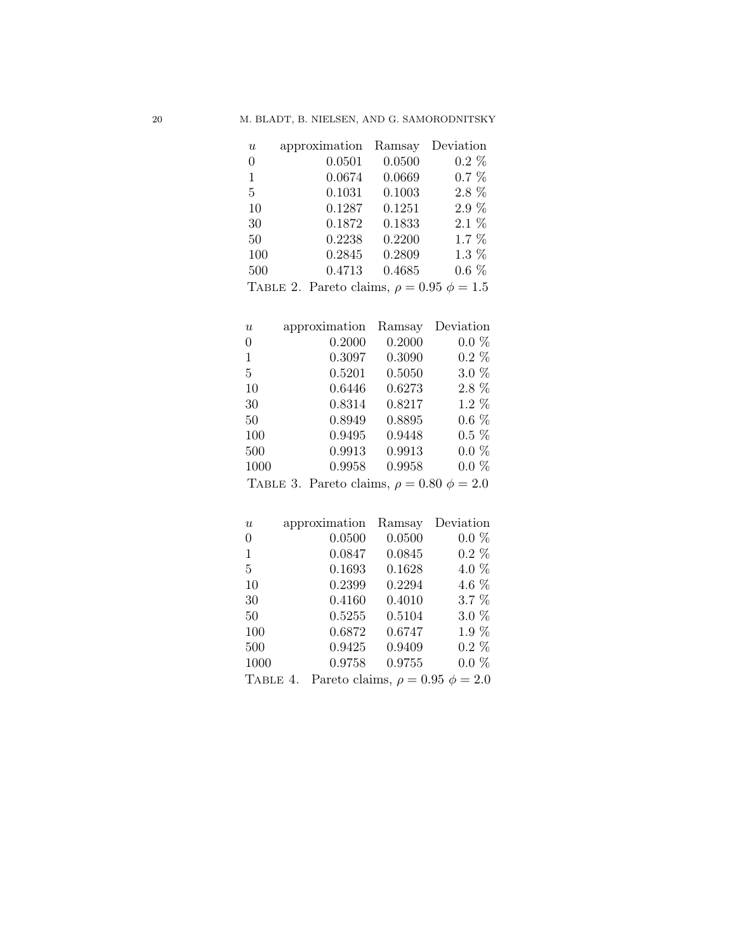| $\boldsymbol{u}$ | approximation | Ramsay | Deviation |
|------------------|---------------|--------|-----------|
| $\theta$         | 0.0501        | 0.0500 | $0.2\%$   |
| 1                | 0.0674        | 0.0669 | $0.7 \%$  |
| 5                | 0.1031        | 0.1003 | 2.8 %     |
| 10               | 0.1287        | 0.1251 | 2.9 %     |
| 30               | 0.1872        | 0.1833 | $2.1\%$   |
| 50               | 0.2238        | 0.2200 | $1.7\%$   |
| 100              | 0.2845        | 0.2809 | $1.3\%$   |
| 500              | 0.4713        | 0.4685 | $0.6\%$   |

| TABLE 2. Pareto claims, $\rho = 0.95 \phi = 1.5$ |  |  |
|--------------------------------------------------|--|--|
|                                                  |  |  |

| $\boldsymbol{u}$ | approximation                                    | Ramsay | Deviation |
|------------------|--------------------------------------------------|--------|-----------|
| $\theta$         | 0.2000                                           | 0.2000 | $0.0 \%$  |
| $\mathbf{1}$     | 0.3097                                           | 0.3090 | $0.2\%$   |
| 5                | 0.5201                                           | 0.5050 | $3.0\%$   |
| 10               | 0.6446                                           | 0.6273 | $2.8\%$   |
| 30               | 0.8314                                           | 0.8217 | $1.2\%$   |
| 50               | 0.8949                                           | 0.8895 | $0.6\%$   |
| 100              | 0.9495                                           | 0.9448 | $0.5\%$   |
| 500              | 0.9913                                           | 0.9913 | $0.0 \%$  |
| 1000             | 0.9958                                           | 0.9958 | $0.0 \%$  |
|                  | TABLE 3. Pareto claims, $\rho = 0.80 \phi = 2.0$ |        |           |

| $\boldsymbol{u}$ | approximation | Ramsay | Deviation                               |
|------------------|---------------|--------|-----------------------------------------|
| $\overline{0}$   | 0.0500        | 0.0500 | $0.0\%$                                 |
| 1                | 0.0847        | 0.0845 | $0.2\%$                                 |
| 5                | 0.1693        | 0.1628 | 4.0 %                                   |
| 10               | 0.2399        | 0.2294 | 4.6 %                                   |
| 30               | 0.4160        | 0.4010 | $3.7\%$                                 |
| 50               | 0.5255        | 0.5104 | $3.0\%$                                 |
| 100              | 0.6872        | 0.6747 | $1.9\%$                                 |
| 500              | 0.9425        | 0.9409 | $0.2\%$                                 |
| 1000             | 0.9758        | 0.9755 | $0.0 \%$                                |
| TABLE 4.         |               |        | Pareto claims, $\rho = 0.95 \phi = 2.0$ |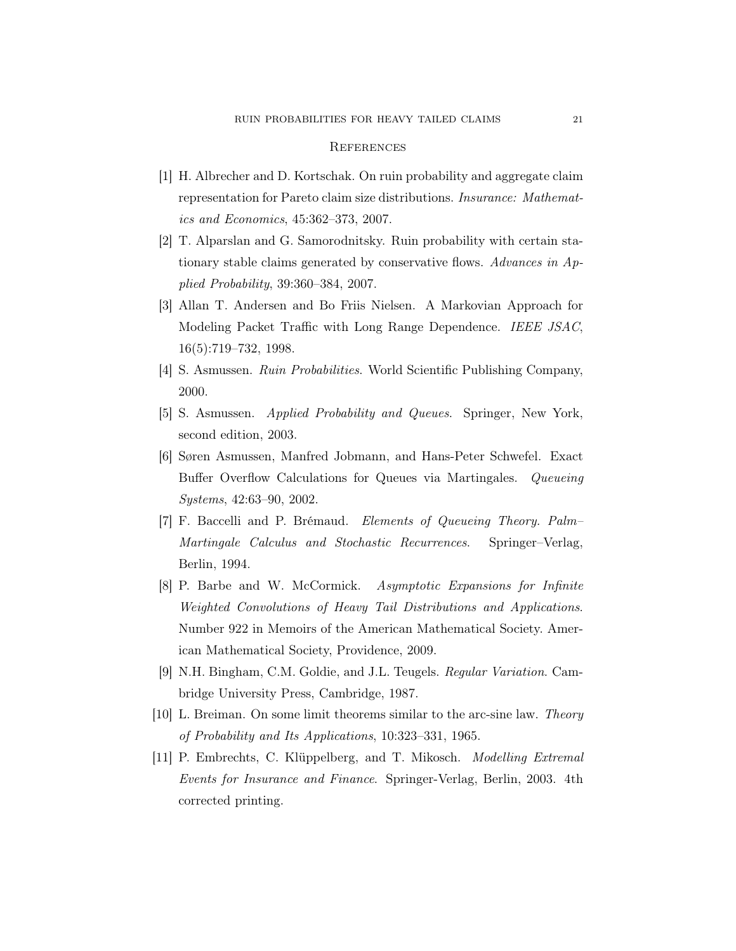## **REFERENCES**

- [1] H. Albrecher and D. Kortschak. On ruin probability and aggregate claim representation for Pareto claim size distributions. Insurance: Mathematics and Economics, 45:362–373, 2007.
- [2] T. Alparslan and G. Samorodnitsky. Ruin probability with certain stationary stable claims generated by conservative flows. Advances in Applied Probability, 39:360–384, 2007.
- [3] Allan T. Andersen and Bo Friis Nielsen. A Markovian Approach for Modeling Packet Traffic with Long Range Dependence. IEEE JSAC, 16(5):719–732, 1998.
- [4] S. Asmussen. Ruin Probabilities. World Scientific Publishing Company, 2000.
- [5] S. Asmussen. Applied Probability and Queues. Springer, New York, second edition, 2003.
- [6] Søren Asmussen, Manfred Jobmann, and Hans-Peter Schwefel. Exact Buffer Overflow Calculations for Queues via Martingales. Queueing Systems, 42:63–90, 2002.
- [7] F. Baccelli and P. Brémaud. Elements of Queueing Theory. Palm– Martingale Calculus and Stochastic Recurrences. Springer–Verlag, Berlin, 1994.
- [8] P. Barbe and W. McCormick. Asymptotic Expansions for Infinite Weighted Convolutions of Heavy Tail Distributions and Applications. Number 922 in Memoirs of the American Mathematical Society. American Mathematical Society, Providence, 2009.
- [9] N.H. Bingham, C.M. Goldie, and J.L. Teugels. Regular Variation. Cambridge University Press, Cambridge, 1987.
- [10] L. Breiman. On some limit theorems similar to the arc-sine law. Theory of Probability and Its Applications, 10:323–331, 1965.
- [11] P. Embrechts, C. Klüppelberg, and T. Mikosch. Modelling Extremal Events for Insurance and Finance. Springer-Verlag, Berlin, 2003. 4th corrected printing.